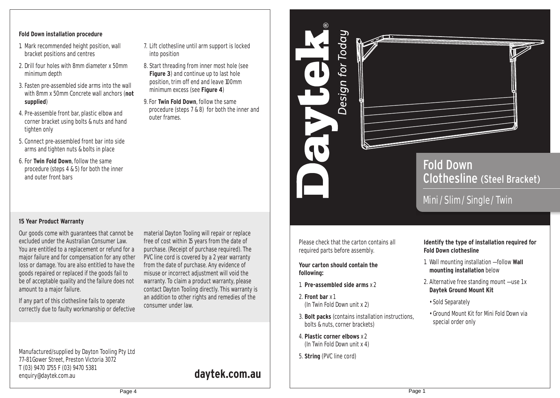#### **Fold Down installation procedure**

- 1. Mark recommended height position, wall bracket positions and centres
- 2. Drill four holes with 8mm diameter x 50mm minimum depth
- 3. Fasten pre-assembled side arms into the wall with 8mm x 50mm Concrete wall anchors (**not supplied**)
- 4. Pre-assemble front bar, plastic elbow and corner bracket using bolts & nuts and hand tighten only
- 5. Connect pre-assembled front bar into side arms and tighten nuts & bolts in place
- 6. For **Twin Fold Down**, follow the same procedure (steps 4 & 5) for both the inner and outer front bars
- 7. Lift clothesline until arm support is locked into position
- 8. Start threading from inner most hole (see **Figure 3**) and continue up to last hole position, trim off end and leave 100mm minimum excess (see **Figure 4**)
- 9. For **Twin Fold Down**, follow the same procedure (steps 7 & 8) for both the inner and outer frames.

### **15 Year Product Warranty**

Our goods come with guarantees that cannot be excluded under the Australian Consumer Law. You are entitled to a replacement or refund for a major failure and for compensation for any other loss or damage. You are also entitled to have the goods repaired or replaced if the goods fail to be of acceptable quality and the failure does not amount to a major failure.

material Dayton Tooling will repair or replace free of cost within 15 years from the date of purchase. (Receipt of purchase required). The contact Dayton Tooling directly. This warranty is an addition to other rights and remedies of the

If any part of this clothesline fails to operate correctly due to faulty workmanship or defective

PVC line cord is covered by a 2 year warranty from the date of purchase. Any evidence of misuse or incorrect adjustment will void the warranty. To claim a product warranty, please consumer under law.

Manufactured/supplied by Dayton Tooling Pty Ltd 77–81 Gower Street, Preston Victoria 3072 T (03) 9470 1755 F (03) 9470 5381 enquiry@daytek.com.au **daytek.com.au** 

Design for Today

# Fold Down Clothesline (Steel Bracket)

## Mini/ Slim/ Single / Twin

Please check that the carton contains all required parts before assembly.

#### **Your carton should contain the following:**

- 1. **Pre-assembled side arms** x 2
- 2. **Front bar** x1 (In Twin Fold Down unit x 2)
- 3. **Bolt packs** (contains installation instructions, bolts & nuts, corner brackets)
- 4. **Plastic corner elbows** x 2 (In Twin Fold Down unit x 4)
- 5. **String** (PVC line cord)

#### **Identify the type of installation required for Fold Down clothesline**

- 1. Wall mounting installation follow **Wall mounting installation** below
- 2. Alternative free standing mount use 1 x **Daytek Ground Mount Kit**
- Sold Separately
- Ground Mount Kit for Mini Fold Down via special order only